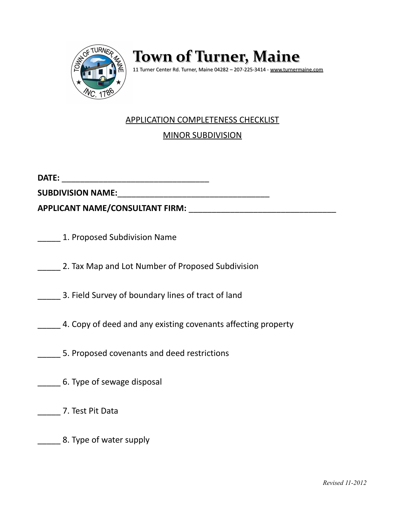

**Town of Turner, Maine**

11 Turner Center Rd. Turner, Maine 04282 – 207-225-3414 - [www.turnermaine.com](http://www.turnermaine.com/)

## APPLICATION COMPLETENESS CHECKLIST

MINOR SUBDIVISION

**DATE:** \_\_\_\_\_\_\_\_\_\_\_\_\_\_\_\_\_\_\_\_\_\_\_\_\_\_\_\_\_\_\_\_

**SUBDIVISION NAME:**\_\_\_\_\_\_\_\_\_\_\_\_\_\_\_\_\_\_\_\_\_\_\_\_\_\_\_\_\_\_\_\_\_

**APPLICANT NAME/CONSULTANT FIRM:** \_\_\_\_\_\_\_\_\_\_\_\_\_\_\_\_\_\_\_\_\_\_\_\_\_\_\_\_\_\_\_\_

\_\_\_\_\_ 1. Proposed Subdivision Name

2. Tax Map and Lot Number of Proposed Subdivision

\_\_\_\_\_ 3. Field Survey of boundary lines of tract of land

**4. Copy of deed and any existing covenants affecting property** 

\_\_\_\_\_ 5. Proposed covenants and deed restrictions

\_\_\_\_\_ 6. Type of sewage disposal

\_\_\_\_\_ 7. Test Pit Data

\_\_\_\_\_ 8. Type of water supply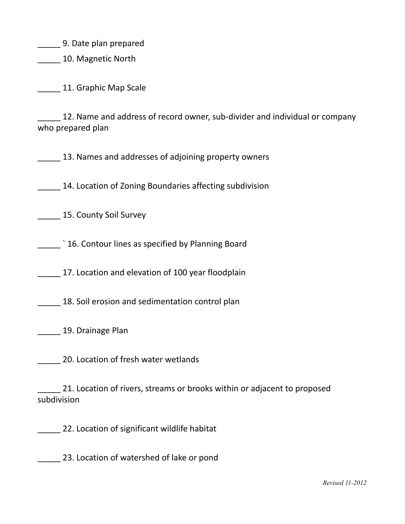\_\_\_\_\_ 9. Date plan prepared

**\_\_\_\_\_\_** 10. Magnetic North

11. Graphic Map Scale

12. Name and address of record owner, sub-divider and individual or company who prepared plan

13. Names and addresses of adjoining property owners

14. Location of Zoning Boundaries affecting subdivision

\_\_\_\_\_ 15. County Soil Survey

\_\_\_\_\_ ` 16. Contour lines as specified by Planning Board

17. Location and elevation of 100 year floodplain

**18. Soil erosion and sedimentation control plan** 

**Lackson** 19. Drainage Plan

\_\_\_\_\_ 20. Location of fresh water wetlands

\_\_\_\_\_ 21. Location of rivers, streams or brooks within or adjacent to proposed subdivision

**22.** Location of significant wildlife habitat

\_\_\_\_\_ 23. Location of watershed of lake or pond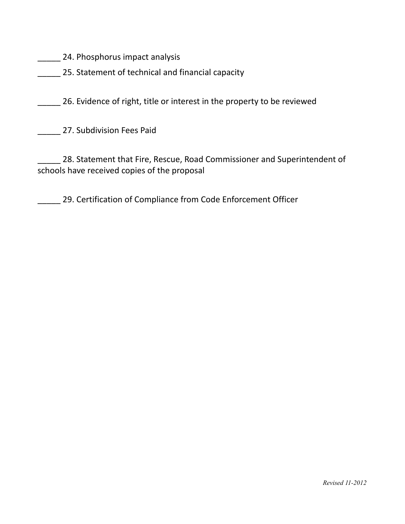**\_\_\_\_\_\_** 24. Phosphorus impact analysis

**25. Statement of technical and financial capacity** 

26. Evidence of right, title or interest in the property to be reviewed

\_\_\_\_\_ 27. Subdivision Fees Paid

28. Statement that Fire, Rescue, Road Commissioner and Superintendent of schools have received copies of the proposal

\_\_\_\_\_ 29. Certification of Compliance from Code Enforcement Officer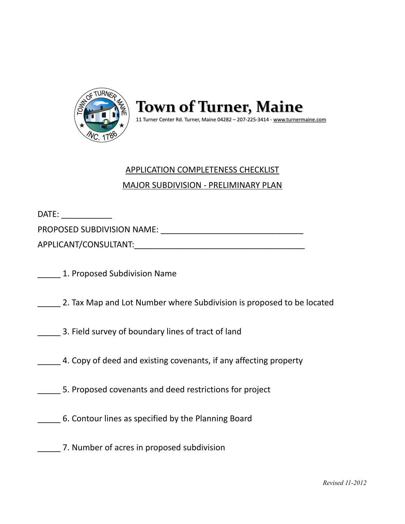

**Town of Turner, Maine** 11 Turner Center Rd. Turner, Maine 04282 – 207-225-3414 - [www.turnermaine.com](http://www.turnermaine.com/)

## APPLICATION COMPLETENESS CHECKLIST MAJOR SUBDIVISION - PRELIMINARY PLAN

DATE:  $\blacksquare$ 

PROPOSED SUBDIVISION NAME: \_\_\_\_\_\_\_\_\_\_\_\_\_\_\_\_\_\_\_\_\_\_\_\_\_\_\_\_\_\_\_

APPLICANT/CONSULTANT:\_\_\_\_\_\_\_\_\_\_\_\_\_\_\_\_\_\_\_\_\_\_\_\_\_\_\_\_\_\_\_\_\_\_\_\_\_

\_\_\_\_\_ 1. Proposed Subdivision Name

\_\_\_\_\_ 2. Tax Map and Lot Number where Subdivision is proposed to be located

\_\_\_\_\_ 3. Field survey of boundary lines of tract of land

4. Copy of deed and existing covenants, if any affecting property

\_\_\_\_\_ 5. Proposed covenants and deed restrictions for project

\_\_\_\_\_ 6. Contour lines as specified by the Planning Board

\_\_\_\_\_ 7. Number of acres in proposed subdivision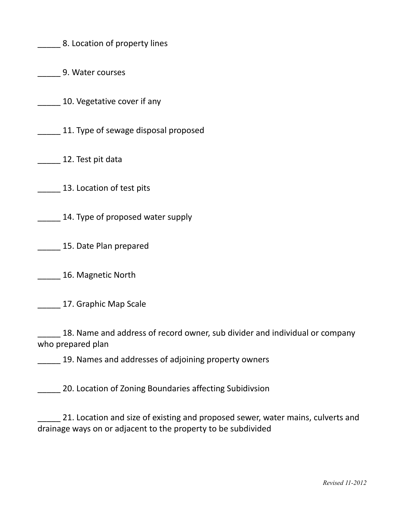\_\_\_\_\_ 8. Location of property lines

\_\_\_\_\_ 9. Water courses

10. Vegetative cover if any

\_\_\_\_\_ 11. Type of sewage disposal proposed

12. Test pit data

13. Location of test pits

\_\_\_\_\_ 14. Type of proposed water supply

**15. Date Plan prepared** 

\_\_\_\_\_ 16. Magnetic North

\_\_\_\_\_ 17. Graphic Map Scale

18. Name and address of record owner, sub divider and individual or company who prepared plan

\_\_\_\_\_ 19. Names and addresses of adjoining property owners

20. Location of Zoning Boundaries affecting Subidivsion

21. Location and size of existing and proposed sewer, water mains, culverts and drainage ways on or adjacent to the property to be subdivided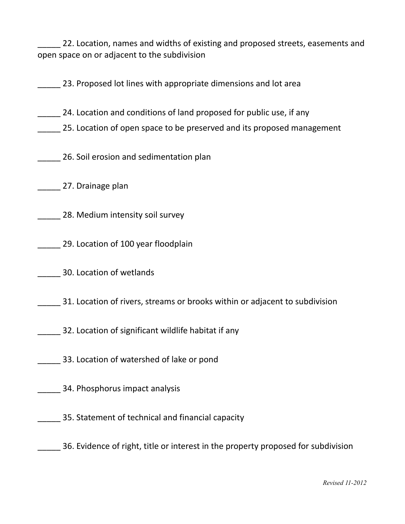22. Location, names and widths of existing and proposed streets, easements and open space on or adjacent to the subdivision

23. Proposed lot lines with appropriate dimensions and lot area

24. Location and conditions of land proposed for public use, if any

- 25. Location of open space to be preserved and its proposed management
- \_\_\_\_\_ 26. Soil erosion and sedimentation plan

\_\_\_\_\_ 27. Drainage plan

- \_\_\_\_\_ 28. Medium intensity soil survey
- 29. Location of 100 year floodplain
- \_\_\_\_\_ 30. Location of wetlands
- \_\_\_\_\_ 31. Location of rivers, streams or brooks within or adjacent to subdivision
- \_\_\_\_\_ 32. Location of significant wildlife habitat if any
- \_\_\_\_\_ 33. Location of watershed of lake or pond
- \_\_\_\_\_ 34. Phosphorus impact analysis
- \_\_\_\_\_ 35. Statement of technical and financial capacity
- \_\_\_\_\_ 36. Evidence of right, title or interest in the property proposed for subdivision